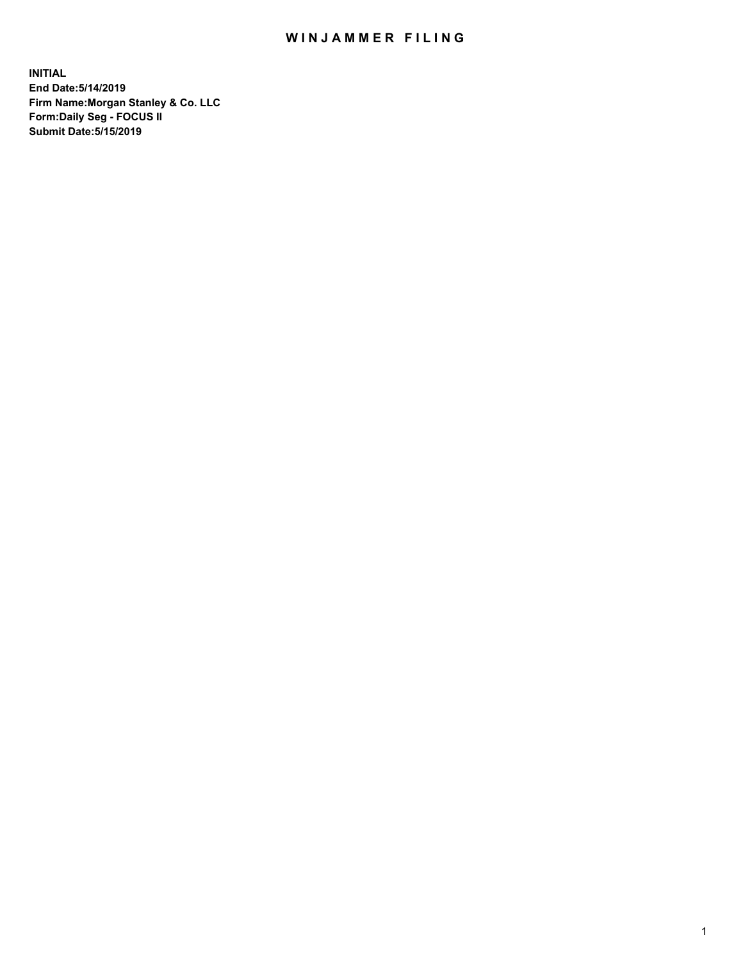## WIN JAMMER FILING

**INITIAL End Date:5/14/2019 Firm Name:Morgan Stanley & Co. LLC Form:Daily Seg - FOCUS II Submit Date:5/15/2019**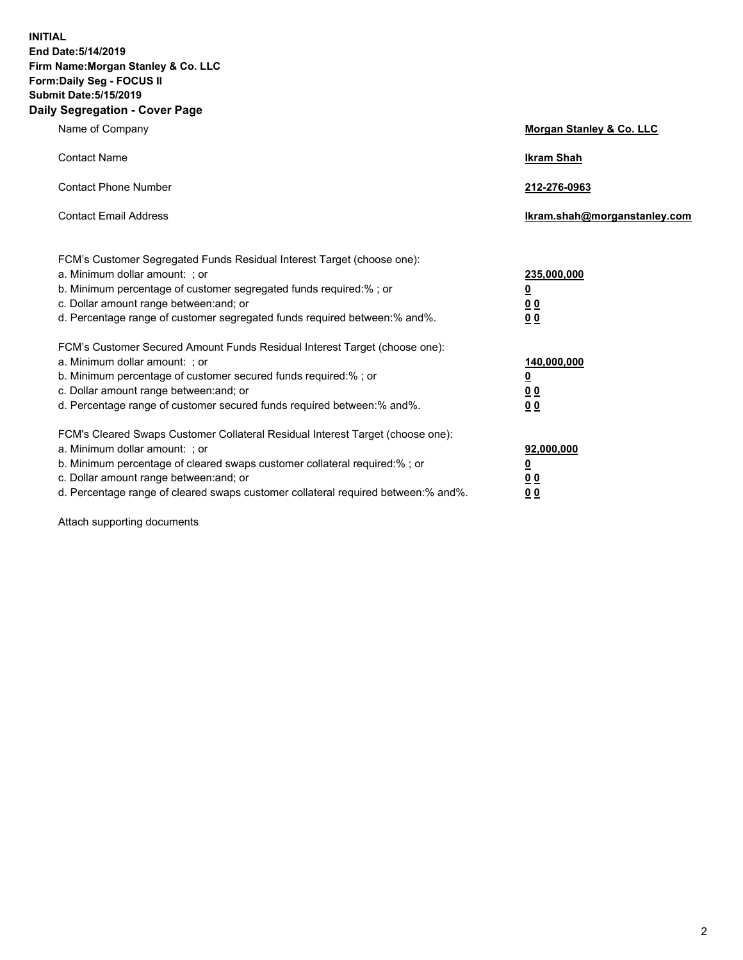**INITIAL End Date:5/14/2019 Firm Name:Morgan Stanley & Co. LLC Form:Daily Seg - FOCUS II Submit Date:5/15/2019 Daily Segregation - Cover Page**

| Name of Company                                                                   | Morgan Stanley & Co. LLC     |
|-----------------------------------------------------------------------------------|------------------------------|
| <b>Contact Name</b>                                                               | <b>Ikram Shah</b>            |
| <b>Contact Phone Number</b>                                                       | 212-276-0963                 |
| <b>Contact Email Address</b>                                                      | Ikram.shah@morganstanley.com |
| FCM's Customer Segregated Funds Residual Interest Target (choose one):            |                              |
| a. Minimum dollar amount: ; or                                                    | 235,000,000                  |
| b. Minimum percentage of customer segregated funds required:% ; or                | <u>0</u>                     |
| c. Dollar amount range between: and; or                                           | <u>0 0</u>                   |
| d. Percentage range of customer segregated funds required between: % and %.       | 00                           |
| FCM's Customer Secured Amount Funds Residual Interest Target (choose one):        |                              |
| a. Minimum dollar amount: ; or                                                    | 140,000,000                  |
| b. Minimum percentage of customer secured funds required:%; or                    | <u>0</u>                     |
| c. Dollar amount range between: and; or                                           | 0 <sub>0</sub>               |
| d. Percentage range of customer secured funds required between:% and%.            | 0 <sub>0</sub>               |
| FCM's Cleared Swaps Customer Collateral Residual Interest Target (choose one):    |                              |
| a. Minimum dollar amount: ; or                                                    | 92,000,000                   |
| b. Minimum percentage of cleared swaps customer collateral required:% ; or        | <u>0</u>                     |
| c. Dollar amount range between: and; or                                           | 0 Q                          |
| d. Percentage range of cleared swaps customer collateral required between:% and%. | 00                           |

Attach supporting documents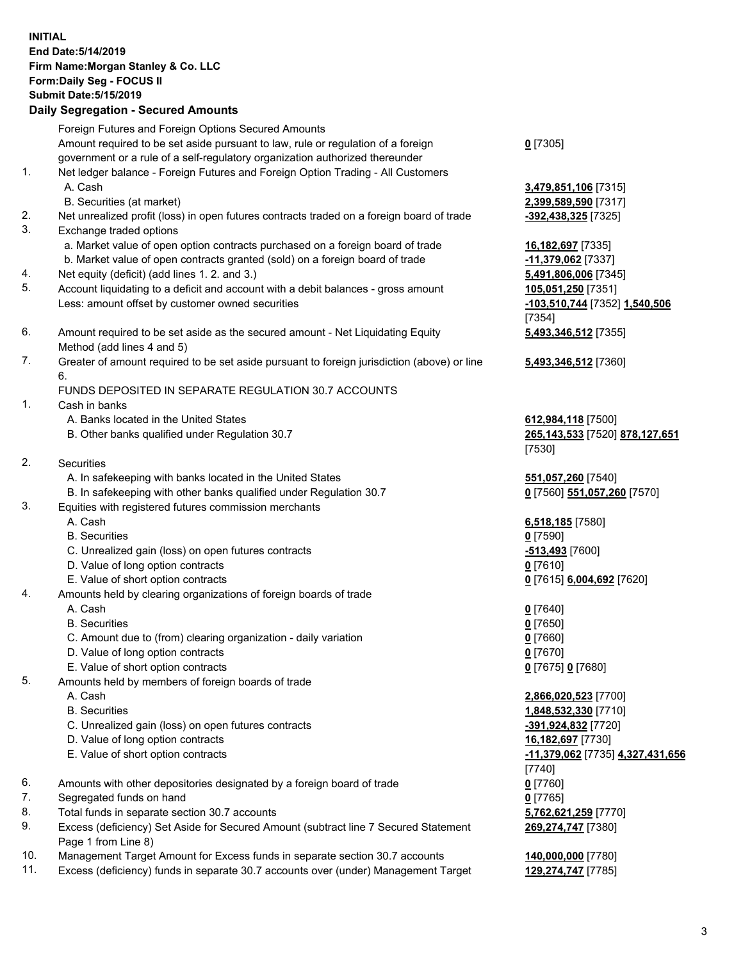## **INITIAL End Date:5/14/2019 Firm Name:Morgan Stanley & Co. LLC Form:Daily Seg - FOCUS II Submit Date:5/15/2019 Daily Segregation - Secured Amounts** Foreign Futures and Foreign Options Secured Amounts Amount required to be set aside pursuant to law, rule or regulation of a foreign government or a rule of a self-regulatory organization authorized thereunder 1. Net ledger balance - Foreign Futures and Foreign Option Trading - All Customers A. Cash **3,479,851,106** [7315] B. Securities (at market) **2,399,589,590** [7317] 2. Net unrealized profit (loss) in open futures contracts traded on a foreign board of trade **-392,438,325** [7325] 3. Exchange traded options a. Market value of open option contracts purchased on a foreign board of trade **16,182,697** [7335] b. Market value of open contracts granted (sold) on a foreign board of trade **-11,379,062** [7337] 4. Net equity (deficit) (add lines 1. 2. and 3.) **5,491,806,006** [7345] 5. Account liquidating to a deficit and account with a debit balances - gross amount **105,051,250** [7351] Less: amount offset by customer owned securities **-103,510,744** [7352] **1,540,506** 6. Amount required to be set aside as the secured amount - Net Liquidating Equity Method (add lines 4 and 5) 7. Greater of amount required to be set aside pursuant to foreign jurisdiction (above) or line 6. FUNDS DEPOSITED IN SEPARATE REGULATION 30.7 ACCOUNTS 1. Cash in banks A. Banks located in the United States **612,984,118** [7500] B. Other banks qualified under Regulation 30.7 **265,143,533** [7520] **878,127,651** 2. Securities A. In safekeeping with banks located in the United States **551,057,260** [7540] B. In safekeeping with other banks qualified under Regulation 30.7 **0** [7560] **551,057,260** [7570] 3. Equities with registered futures commission merchants A. Cash **6,518,185** [7580] B. Securities **0** [7590] C. Unrealized gain (loss) on open futures contracts **-513,493** [7600] D. Value of long option contracts **0** [7610] E. Value of short option contracts **0** [7615] **6,004,692** [7620] 4. Amounts held by clearing organizations of foreign boards of trade A. Cash **0** [7640] B. Securities **0** [7650] C. Amount due to (from) clearing organization - daily variation **0** [7660] D. Value of long option contracts **0** [7670] E. Value of short option contracts **0** [7675] **0** [7680] 5. Amounts held by members of foreign boards of trade A. Cash **2,866,020,523** [7700]

- 
- C. Unrealized gain (loss) on open futures contracts **-391,924,832** [7720]
- D. Value of long option contracts **16,182,697** [7730]
- E. Value of short option contracts **-11,379,062** [7735] **4,327,431,656**
- 6. Amounts with other depositories designated by a foreign board of trade **0** [7760]
- 7. Segregated funds on hand **0** [7765]
- 8. Total funds in separate section 30.7 accounts **5,762,621,259** [7770]
- 9. Excess (deficiency) Set Aside for Secured Amount (subtract line 7 Secured Statement Page 1 from Line 8)
- 10. Management Target Amount for Excess funds in separate section 30.7 accounts **140,000,000** [7780]
- 11. Excess (deficiency) funds in separate 30.7 accounts over (under) Management Target **129,274,747** [7785]

**0** [7305]

[7354] **5,493,346,512** [7355]

**5,493,346,512** [7360]

[7530]

 B. Securities **1,848,532,330** [7710] [7740] **269,274,747** [7380]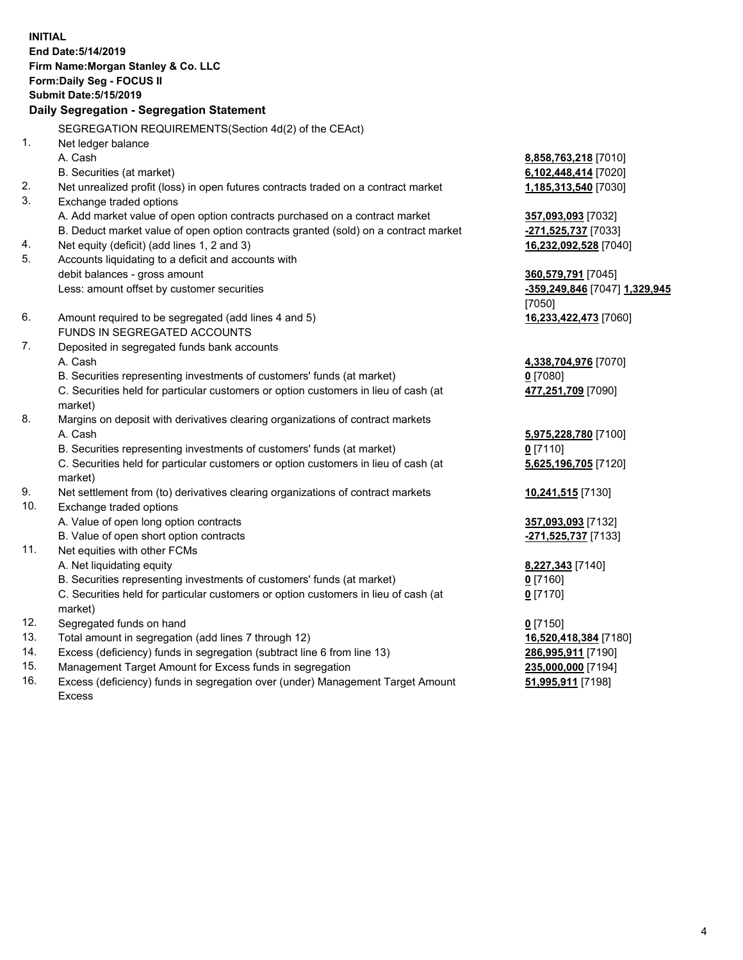**INITIAL End Date:5/14/2019 Firm Name:Morgan Stanley & Co. LLC Form:Daily Seg - FOCUS II Submit Date:5/15/2019 Daily Segregation - Segregation Statement** SEGREGATION REQUIREMENTS(Section 4d(2) of the CEAct) 1. Net ledger balance A. Cash **8,858,763,218** [7010] B. Securities (at market) **6,102,448,414** [7020] 2. Net unrealized profit (loss) in open futures contracts traded on a contract market **1,185,313,540** [7030] 3. Exchange traded options A. Add market value of open option contracts purchased on a contract market **357,093,093** [7032] B. Deduct market value of open option contracts granted (sold) on a contract market **-271,525,737** [7033] 4. Net equity (deficit) (add lines 1, 2 and 3) **16,232,092,528** [7040] 5. Accounts liquidating to a deficit and accounts with debit balances - gross amount **360,579,791** [7045] Less: amount offset by customer securities **-359,249,846** [7047] **1,329,945** [7050] 6. Amount required to be segregated (add lines 4 and 5) **16,233,422,473** [7060] FUNDS IN SEGREGATED ACCOUNTS 7. Deposited in segregated funds bank accounts A. Cash **4,338,704,976** [7070] B. Securities representing investments of customers' funds (at market) **0** [7080] C. Securities held for particular customers or option customers in lieu of cash (at market) **477,251,709** [7090] 8. Margins on deposit with derivatives clearing organizations of contract markets A. Cash **5,975,228,780** [7100] B. Securities representing investments of customers' funds (at market) **0** [7110] C. Securities held for particular customers or option customers in lieu of cash (at market) **5,625,196,705** [7120] 9. Net settlement from (to) derivatives clearing organizations of contract markets **10,241,515** [7130] 10. Exchange traded options A. Value of open long option contracts **357,093,093** [7132] B. Value of open short option contracts **-271,525,737** [7133] 11. Net equities with other FCMs A. Net liquidating equity **8,227,343** [7140] B. Securities representing investments of customers' funds (at market) **0** [7160] C. Securities held for particular customers or option customers in lieu of cash (at market) **0** [7170] 12. Segregated funds on hand **0** [7150] 13. Total amount in segregation (add lines 7 through 12) **16,520,418,384** [7180] 14. Excess (deficiency) funds in segregation (subtract line 6 from line 13) **286,995,911** [7190]

- 15. Management Target Amount for Excess funds in segregation **235,000,000** [7194]
- 16. Excess (deficiency) funds in segregation over (under) Management Target Amount Excess

**51,995,911** [7198]